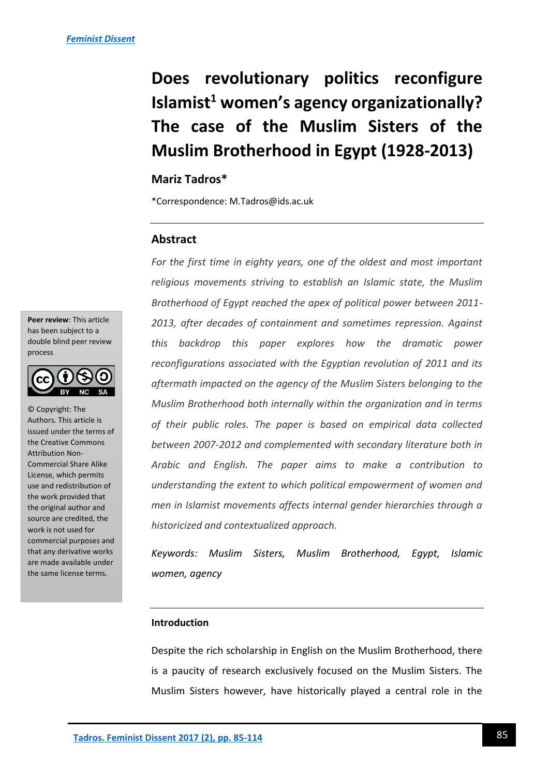# **Does revolutionary politics reconfigure Islamist<sup>1</sup> women's agency organizationally? The case of the Muslim Sisters of the Muslim Brotherhood in Egypt (1928-2013)**

## **Mariz Tadros\***

\*Correspondence: M.Tadros@ids.ac.uk

### **Abstract**

*For the first time in eighty years, one of the oldest and most important religious movements striving to establish an Islamic state, the Muslim Brotherhood of Egypt reached the apex of political power between 2011- 2013, after decades of containment and sometimes repression. Against this backdrop this paper explores how the dramatic power reconfigurations associated with the Egyptian revolution of 2011 and its aftermath impacted on the agency of the Muslim Sisters belonging to the Muslim Brotherhood both internally within the organization and in terms of their public roles. The paper is based on empirical data collected between 2007-2012 and complemented with secondary literature both in Arabic and English. The paper aims to make a contribution to understanding the extent to which political empowerment of women and men in Islamist movements affects internal gender hierarchies through a historicized and contextualized approach.*

*Keywords: Muslim Sisters, Muslim Brotherhood, Egypt, Islamic women, agency*

#### **Introduction**

Despite the rich scholarship in English on the Muslim Brotherhood, there is a paucity of research exclusively focused on the Muslim Sisters. The Muslim Sisters however, have historically played a central role in the

**Peer review**: This article has been subject to a double blind peer review process



© Copyright: The Authors. This article is issued under the terms of the Creative Commons Attribution Non-Commercial Share Alike License, which permits use and redistribution of the work provided that the original author and source are credited, the work is not used for commercial purposes and that any derivative works are made available under the same license terms.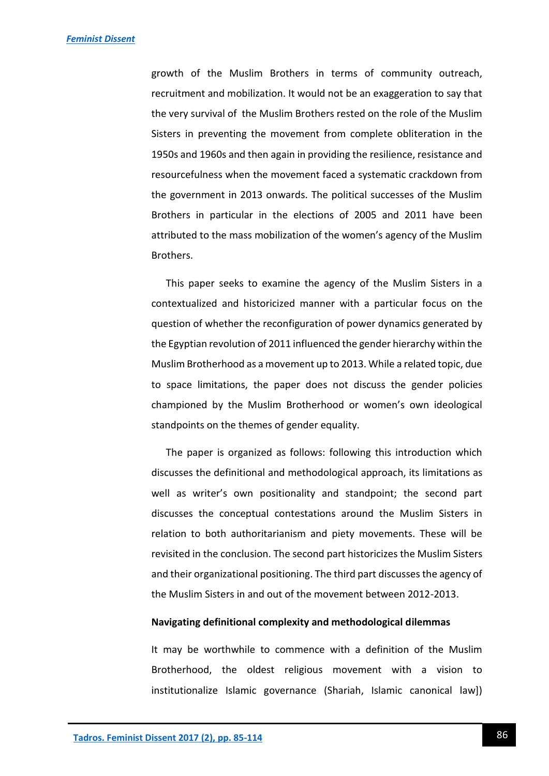growth of the Muslim Brothers in terms of community outreach, recruitment and mobilization. It would not be an exaggeration to say that the very survival of the Muslim Brothers rested on the role of the Muslim Sisters in preventing the movement from complete obliteration in the 1950s and 1960s and then again in providing the resilience, resistance and resourcefulness when the movement faced a systematic crackdown from the government in 2013 onwards. The political successes of the Muslim Brothers in particular in the elections of 2005 and 2011 have been attributed to the mass mobilization of the women's agency of the Muslim Brothers.

This paper seeks to examine the agency of the Muslim Sisters in a contextualized and historicized manner with a particular focus on the question of whether the reconfiguration of power dynamics generated by the Egyptian revolution of 2011 influenced the gender hierarchy within the Muslim Brotherhood as a movement up to 2013. While a related topic, due to space limitations, the paper does not discuss the gender policies championed by the Muslim Brotherhood or women's own ideological standpoints on the themes of gender equality.

The paper is organized as follows: following this introduction which discusses the definitional and methodological approach, its limitations as well as writer's own positionality and standpoint; the second part discusses the conceptual contestations around the Muslim Sisters in relation to both authoritarianism and piety movements. These will be revisited in the conclusion. The second part historicizes the Muslim Sisters and their organizational positioning. The third part discusses the agency of the Muslim Sisters in and out of the movement between 2012-2013.

#### **Navigating definitional complexity and methodological dilemmas**

It may be worthwhile to commence with a definition of the Muslim Brotherhood, the oldest religious movement with a vision to institutionalize Islamic governance (Shariah, Islamic canonical law])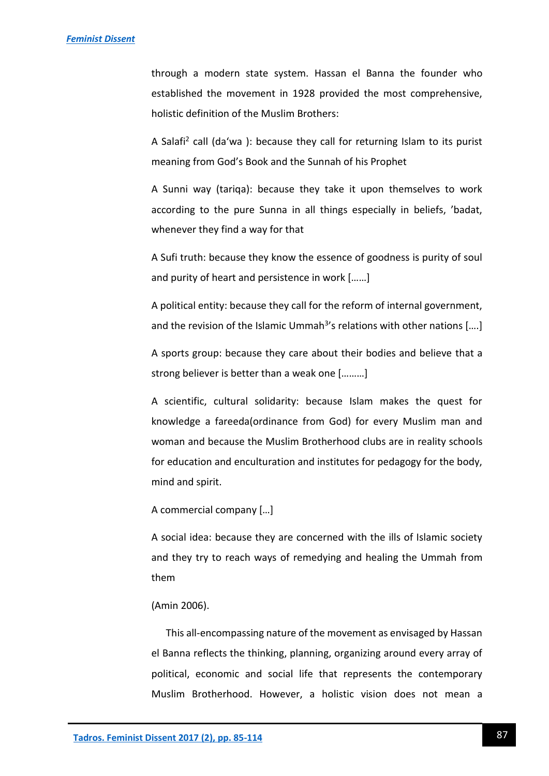through a modern state system. Hassan el Banna the founder who established the movement in 1928 provided the most comprehensive, holistic definition of the Muslim Brothers:

A Salafi<sup>2</sup> call (da'wa): because they call for returning Islam to its purist meaning from God's Book and the Sunnah of his Prophet

A Sunni way (tariqa): because they take it upon themselves to work according to the pure Sunna in all things especially in beliefs, 'badat, whenever they find a way for that

A Sufi truth: because they know the essence of goodness is purity of soul and purity of heart and persistence in work [……]

A political entity: because they call for the reform of internal government, and the revision of the Islamic Ummah<sup>3</sup>'s relations with other nations [....]

A sports group: because they care about their bodies and believe that a strong believer is better than a weak one [………]

A scientific, cultural solidarity: because Islam makes the quest for knowledge a fareeda(ordinance from God) for every Muslim man and woman and because the Muslim Brotherhood clubs are in reality schools for education and enculturation and institutes for pedagogy for the body, mind and spirit.

A commercial company […]

A social idea: because they are concerned with the ills of Islamic society and they try to reach ways of remedying and healing the Ummah from them

#### (Amin 2006).

This all-encompassing nature of the movement as envisaged by Hassan el Banna reflects the thinking, planning, organizing around every array of political, economic and social life that represents the contemporary Muslim Brotherhood. However, a holistic vision does not mean a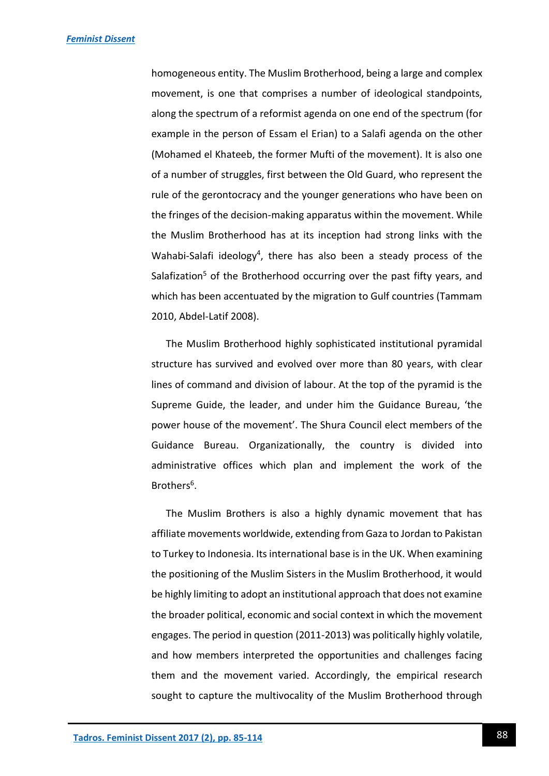homogeneous entity. The Muslim Brotherhood, being a large and complex movement, is one that comprises a number of ideological standpoints, along the spectrum of a reformist agenda on one end of the spectrum (for example in the person of Essam el Erian) to a Salafi agenda on the other (Mohamed el Khateeb, the former Mufti of the movement). It is also one of a number of struggles, first between the Old Guard, who represent the rule of the gerontocracy and the younger generations who have been on the fringes of the decision-making apparatus within the movement. While the Muslim Brotherhood has at its inception had strong links with the Wahabi-Salafi ideology<sup>4</sup>, there has also been a steady process of the Salafization<sup>5</sup> of the Brotherhood occurring over the past fifty years, and which has been accentuated by the migration to Gulf countries (Tammam 2010, Abdel-Latif 2008).

The Muslim Brotherhood highly sophisticated institutional pyramidal structure has survived and evolved over more than 80 years, with clear lines of command and division of labour. At the top of the pyramid is the Supreme Guide, the leader, and under him the Guidance Bureau, 'the power house of the movement'. The Shura Council elect members of the Guidance Bureau. Organizationally, the country is divided into administrative offices which plan and implement the work of the Brothers<sup>6</sup>.

The Muslim Brothers is also a highly dynamic movement that has affiliate movements worldwide, extending from Gaza to Jordan to Pakistan to Turkey to Indonesia. Its international base is in the UK. When examining the positioning of the Muslim Sisters in the Muslim Brotherhood, it would be highly limiting to adopt an institutional approach that does not examine the broader political, economic and social context in which the movement engages. The period in question (2011-2013) was politically highly volatile, and how members interpreted the opportunities and challenges facing them and the movement varied. Accordingly, the empirical research sought to capture the multivocality of the Muslim Brotherhood through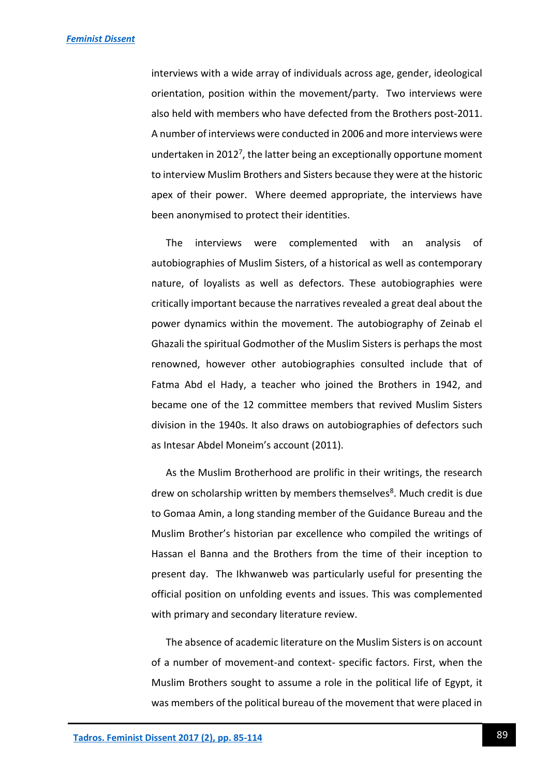interviews with a wide array of individuals across age, gender, ideological orientation, position within the movement/party. Two interviews were also held with members who have defected from the Brothers post-2011. A number of interviews were conducted in 2006 and more interviews were undertaken in 2012<sup>7</sup>, the latter being an exceptionally opportune moment to interview Muslim Brothers and Sisters because they were at the historic apex of their power. Where deemed appropriate, the interviews have been anonymised to protect their identities.

The interviews were complemented with an analysis of autobiographies of Muslim Sisters, of a historical as well as contemporary nature, of loyalists as well as defectors. These autobiographies were critically important because the narratives revealed a great deal about the power dynamics within the movement. The autobiography of Zeinab el Ghazali the spiritual Godmother of the Muslim Sisters is perhaps the most renowned, however other autobiographies consulted include that of Fatma Abd el Hady, a teacher who joined the Brothers in 1942, and became one of the 12 committee members that revived Muslim Sisters division in the 1940s. It also draws on autobiographies of defectors such as Intesar Abdel Moneim's account (2011).

As the Muslim Brotherhood are prolific in their writings, the research drew on scholarship written by members themselves<sup>8</sup>. Much credit is due to Gomaa Amin, a long standing member of the Guidance Bureau and the Muslim Brother's historian par excellence who compiled the writings of Hassan el Banna and the Brothers from the time of their inception to present day. The Ikhwanweb was particularly useful for presenting the official position on unfolding events and issues. This was complemented with primary and secondary literature review.

The absence of academic literature on the Muslim Sisters is on account of a number of movement-and context- specific factors. First, when the Muslim Brothers sought to assume a role in the political life of Egypt, it was members of the political bureau of the movement that were placed in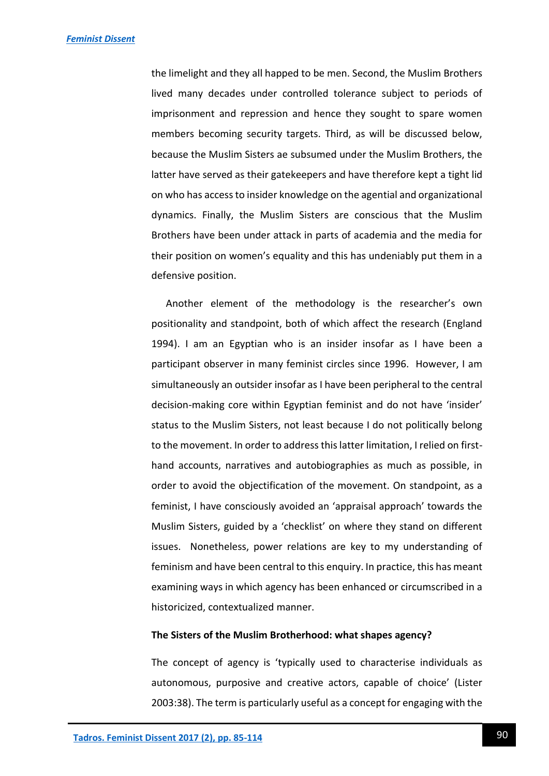the limelight and they all happed to be men. Second, the Muslim Brothers lived many decades under controlled tolerance subject to periods of imprisonment and repression and hence they sought to spare women members becoming security targets. Third, as will be discussed below, because the Muslim Sisters ae subsumed under the Muslim Brothers, the latter have served as their gatekeepers and have therefore kept a tight lid on who has access to insider knowledge on the agential and organizational dynamics. Finally, the Muslim Sisters are conscious that the Muslim Brothers have been under attack in parts of academia and the media for their position on women's equality and this has undeniably put them in a defensive position.

Another element of the methodology is the researcher's own positionality and standpoint, both of which affect the research (England 1994). I am an Egyptian who is an insider insofar as I have been a participant observer in many feminist circles since 1996. However, I am simultaneously an outsider insofar as I have been peripheral to the central decision-making core within Egyptian feminist and do not have 'insider' status to the Muslim Sisters, not least because I do not politically belong to the movement. In order to address this latter limitation, I relied on firsthand accounts, narratives and autobiographies as much as possible, in order to avoid the objectification of the movement. On standpoint, as a feminist, I have consciously avoided an 'appraisal approach' towards the Muslim Sisters, guided by a 'checklist' on where they stand on different issues. Nonetheless, power relations are key to my understanding of feminism and have been central to this enquiry. In practice, this has meant examining ways in which agency has been enhanced or circumscribed in a historicized, contextualized manner.

#### **The Sisters of the Muslim Brotherhood: what shapes agency?**

The concept of agency is 'typically used to characterise individuals as autonomous, purposive and creative actors, capable of choice' (Lister 2003:38). The term is particularly useful as a concept for engaging with the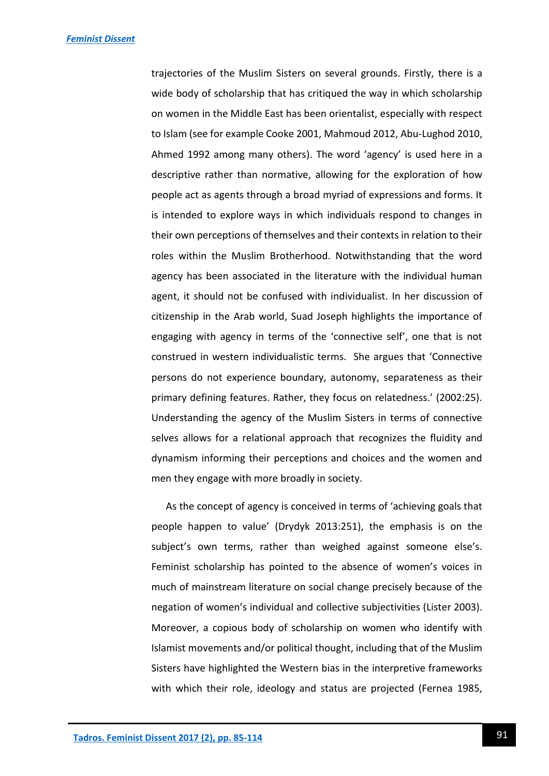trajectories of the Muslim Sisters on several grounds. Firstly, there is a wide body of scholarship that has critiqued the way in which scholarship on women in the Middle East has been orientalist, especially with respect to Islam (see for example Cooke 2001, Mahmoud 2012, Abu-Lughod 2010, Ahmed 1992 among many others). The word 'agency' is used here in a descriptive rather than normative, allowing for the exploration of how people act as agents through a broad myriad of expressions and forms. It is intended to explore ways in which individuals respond to changes in their own perceptions of themselves and their contexts in relation to their roles within the Muslim Brotherhood. Notwithstanding that the word agency has been associated in the literature with the individual human agent, it should not be confused with individualist. In her discussion of citizenship in the Arab world, Suad Joseph highlights the importance of engaging with agency in terms of the 'connective self', one that is not construed in western individualistic terms. She argues that 'Connective persons do not experience boundary, autonomy, separateness as their primary defining features. Rather, they focus on relatedness.' (2002:25). Understanding the agency of the Muslim Sisters in terms of connective selves allows for a relational approach that recognizes the fluidity and dynamism informing their perceptions and choices and the women and men they engage with more broadly in society.

As the concept of agency is conceived in terms of 'achieving goals that people happen to value' (Drydyk 2013:251), the emphasis is on the subject's own terms, rather than weighed against someone else's. Feminist scholarship has pointed to the absence of women's voices in much of mainstream literature on social change precisely because of the negation of women's individual and collective subjectivities (Lister 2003). Moreover, a copious body of scholarship on women who identify with Islamist movements and/or political thought, including that of the Muslim Sisters have highlighted the Western bias in the interpretive frameworks with which their role, ideology and status are projected (Fernea 1985,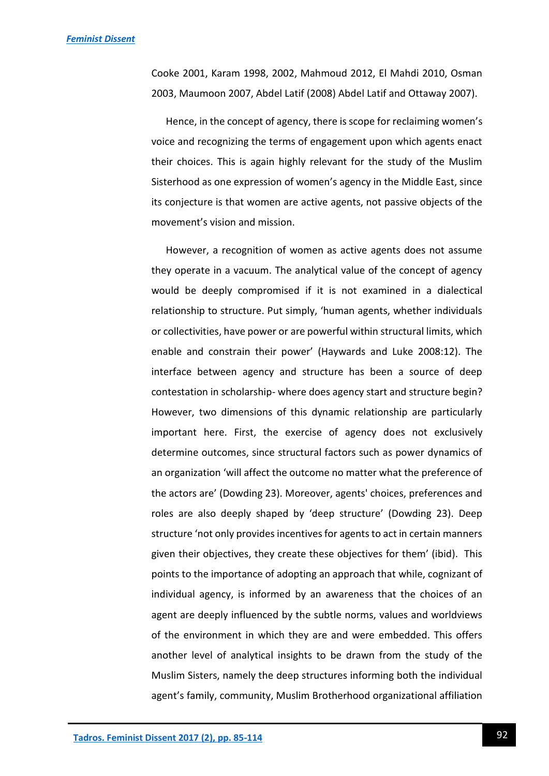Cooke 2001, Karam 1998, 2002, Mahmoud 2012, El Mahdi 2010, Osman 2003, Maumoon 2007, Abdel Latif (2008) Abdel Latif and Ottaway 2007).

Hence, in the concept of agency, there is scope for reclaiming women's voice and recognizing the terms of engagement upon which agents enact their choices. This is again highly relevant for the study of the Muslim Sisterhood as one expression of women's agency in the Middle East, since its conjecture is that women are active agents, not passive objects of the movement's vision and mission.

However, a recognition of women as active agents does not assume they operate in a vacuum. The analytical value of the concept of agency would be deeply compromised if it is not examined in a dialectical relationship to structure. Put simply, 'human agents, whether individuals or collectivities, have power or are powerful within structural limits, which enable and constrain their power' (Haywards and Luke 2008:12). The interface between agency and structure has been a source of deep contestation in scholarship- where does agency start and structure begin? However, two dimensions of this dynamic relationship are particularly important here. First, the exercise of agency does not exclusively determine outcomes, since structural factors such as power dynamics of an organization 'will affect the outcome no matter what the preference of the actors are' (Dowding 23). Moreover, agents' choices, preferences and roles are also deeply shaped by 'deep structure' (Dowding 23). Deep structure 'not only provides incentives for agents to act in certain manners given their objectives, they create these objectives for them' (ibid). This points to the importance of adopting an approach that while, cognizant of individual agency, is informed by an awareness that the choices of an agent are deeply influenced by the subtle norms, values and worldviews of the environment in which they are and were embedded. This offers another level of analytical insights to be drawn from the study of the Muslim Sisters, namely the deep structures informing both the individual agent's family, community, Muslim Brotherhood organizational affiliation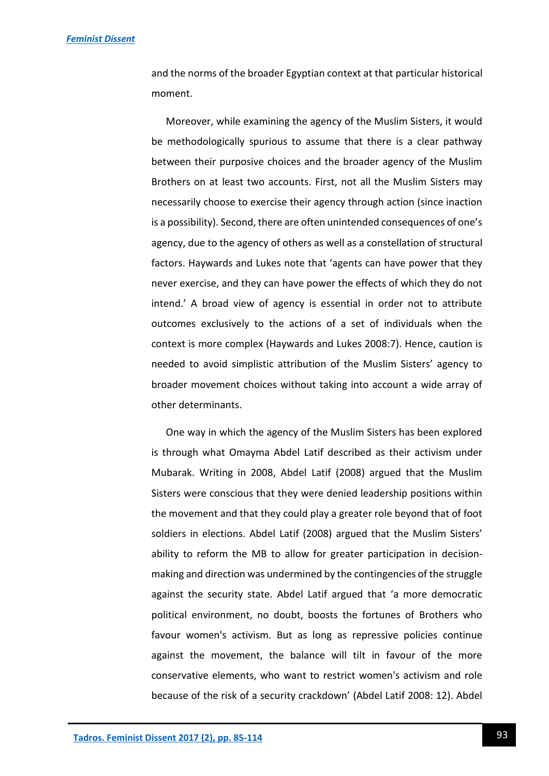and the norms of the broader Egyptian context at that particular historical moment.

Moreover, while examining the agency of the Muslim Sisters, it would be methodologically spurious to assume that there is a clear pathway between their purposive choices and the broader agency of the Muslim Brothers on at least two accounts. First, not all the Muslim Sisters may necessarily choose to exercise their agency through action (since inaction is a possibility). Second, there are often unintended consequences of one's agency, due to the agency of others as well as a constellation of structural factors. Haywards and Lukes note that 'agents can have power that they never exercise, and they can have power the effects of which they do not intend.' A broad view of agency is essential in order not to attribute outcomes exclusively to the actions of a set of individuals when the context is more complex (Haywards and Lukes 2008:7). Hence, caution is needed to avoid simplistic attribution of the Muslim Sisters' agency to broader movement choices without taking into account a wide array of other determinants.

One way in which the agency of the Muslim Sisters has been explored is through what Omayma Abdel Latif described as their activism under Mubarak. Writing in 2008, Abdel Latif (2008) argued that the Muslim Sisters were conscious that they were denied leadership positions within the movement and that they could play a greater role beyond that of foot soldiers in elections. Abdel Latif (2008) argued that the Muslim Sisters' ability to reform the MB to allow for greater participation in decisionmaking and direction was undermined by the contingencies of the struggle against the security state. Abdel Latif argued that 'a more democratic political environment, no doubt, boosts the fortunes of Brothers who favour women's activism. But as long as repressive policies continue against the movement, the balance will tilt in favour of the more conservative elements, who want to restrict women's activism and role because of the risk of a security crackdown' (Abdel Latif 2008: 12). Abdel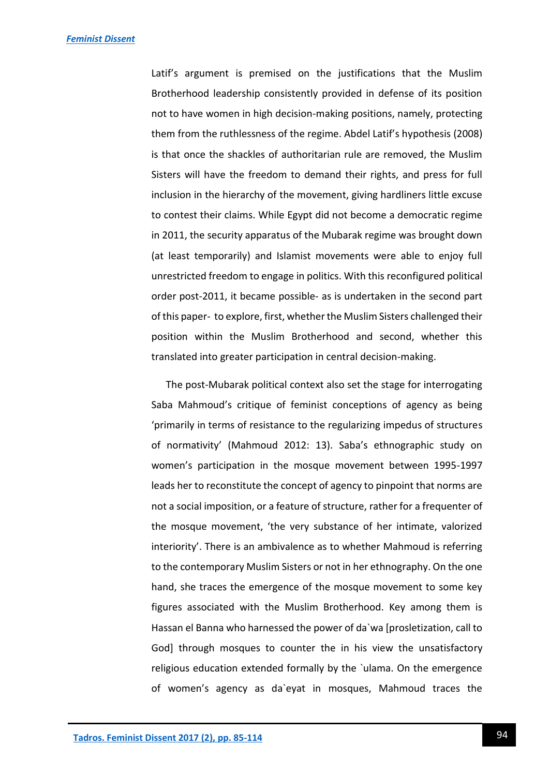Latif's argument is premised on the justifications that the Muslim Brotherhood leadership consistently provided in defense of its position not to have women in high decision-making positions, namely, protecting them from the ruthlessness of the regime. Abdel Latif's hypothesis (2008) is that once the shackles of authoritarian rule are removed, the Muslim Sisters will have the freedom to demand their rights, and press for full inclusion in the hierarchy of the movement, giving hardliners little excuse to contest their claims. While Egypt did not become a democratic regime in 2011, the security apparatus of the Mubarak regime was brought down (at least temporarily) and Islamist movements were able to enjoy full unrestricted freedom to engage in politics. With this reconfigured political order post-2011, it became possible- as is undertaken in the second part of this paper- to explore, first, whether the Muslim Sisters challenged their position within the Muslim Brotherhood and second, whether this translated into greater participation in central decision-making.

The post-Mubarak political context also set the stage for interrogating Saba Mahmoud's critique of feminist conceptions of agency as being 'primarily in terms of resistance to the regularizing impedus of structures of normativity' (Mahmoud 2012: 13). Saba's ethnographic study on women's participation in the mosque movement between 1995-1997 leads her to reconstitute the concept of agency to pinpoint that norms are not a social imposition, or a feature of structure, rather for a frequenter of the mosque movement, 'the very substance of her intimate, valorized interiority'. There is an ambivalence as to whether Mahmoud is referring to the contemporary Muslim Sisters or not in her ethnography. On the one hand, she traces the emergence of the mosque movement to some key figures associated with the Muslim Brotherhood. Key among them is Hassan el Banna who harnessed the power of da`wa [prosletization, call to God] through mosques to counter the in his view the unsatisfactory religious education extended formally by the `ulama. On the emergence of women's agency as da`eyat in mosques, Mahmoud traces the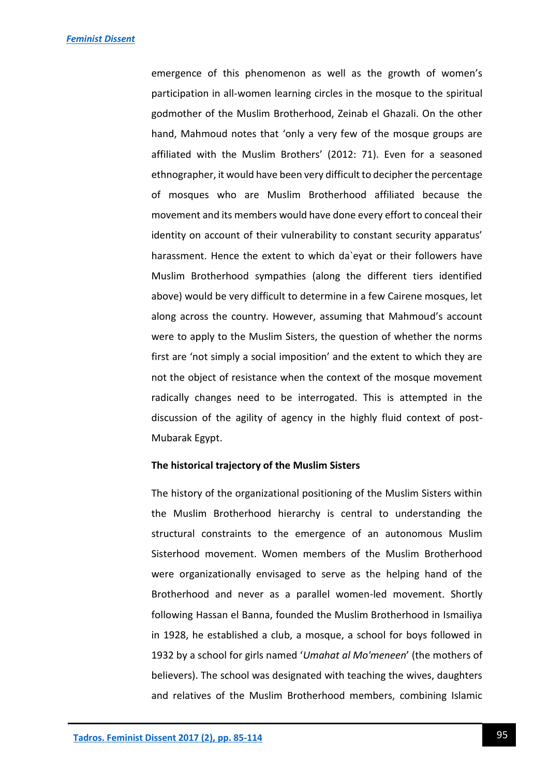emergence of this phenomenon as well as the growth of women's participation in all-women learning circles in the mosque to the spiritual godmother of the Muslim Brotherhood, Zeinab el Ghazali. On the other hand, Mahmoud notes that 'only a very few of the mosque groups are affiliated with the Muslim Brothers' (2012: 71). Even for a seasoned ethnographer, it would have been very difficult to decipher the percentage of mosques who are Muslim Brotherhood affiliated because the movement and its members would have done every effort to conceal their identity on account of their vulnerability to constant security apparatus' harassment. Hence the extent to which da`eyat or their followers have Muslim Brotherhood sympathies (along the different tiers identified above) would be very difficult to determine in a few Cairene mosques, let along across the country. However, assuming that Mahmoud's account were to apply to the Muslim Sisters, the question of whether the norms first are 'not simply a social imposition' and the extent to which they are not the object of resistance when the context of the mosque movement radically changes need to be interrogated. This is attempted in the discussion of the agility of agency in the highly fluid context of post-Mubarak Egypt.

#### **The historical trajectory of the Muslim Sisters**

The history of the organizational positioning of the Muslim Sisters within the Muslim Brotherhood hierarchy is central to understanding the structural constraints to the emergence of an autonomous Muslim Sisterhood movement. Women members of the Muslim Brotherhood were organizationally envisaged to serve as the helping hand of the Brotherhood and never as a parallel women-led movement. Shortly following Hassan el Banna, founded the Muslim Brotherhood in Ismailiya in 1928, he established a club, a mosque, a school for boys followed in 1932 by a school for girls named '*Umahat al Mo'meneen*' (the mothers of believers). The school was designated with teaching the wives, daughters and relatives of the Muslim Brotherhood members, combining Islamic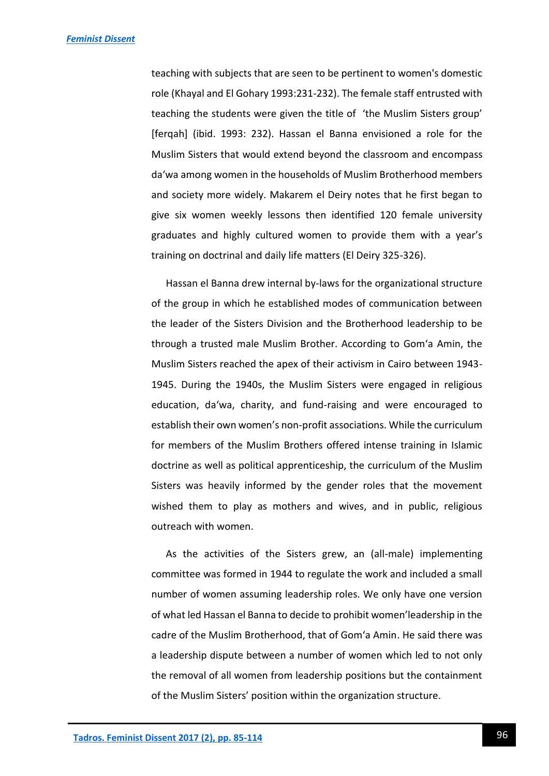teaching with subjects that are seen to be pertinent to women's domestic role (Khayal and El Gohary 1993:231-232). The female staff entrusted with teaching the students were given the title of 'the Muslim Sisters group' [ferqah] (ibid. 1993: 232). Hassan el Banna envisioned a role for the Muslim Sisters that would extend beyond the classroom and encompass da'wa among women in the households of Muslim Brotherhood members and society more widely. Makarem el Deiry notes that he first began to give six women weekly lessons then identified 120 female university graduates and highly cultured women to provide them with a year's training on doctrinal and daily life matters (El Deiry 325-326).

Hassan el Banna drew internal by-laws for the organizational structure of the group in which he established modes of communication between the leader of the Sisters Division and the Brotherhood leadership to be through a trusted male Muslim Brother. According to Gom'a Amin, the Muslim Sisters reached the apex of their activism in Cairo between 1943- 1945. During the 1940s, the Muslim Sisters were engaged in religious education, da'wa, charity, and fund-raising and were encouraged to establish their own women's non-profit associations. While the curriculum for members of the Muslim Brothers offered intense training in Islamic doctrine as well as political apprenticeship, the curriculum of the Muslim Sisters was heavily informed by the gender roles that the movement wished them to play as mothers and wives, and in public, religious outreach with women.

As the activities of the Sisters grew, an (all-male) implementing committee was formed in 1944 to regulate the work and included a small number of women assuming leadership roles. We only have one version of what led Hassan el Banna to decide to prohibit women'leadership in the cadre of the Muslim Brotherhood, that of Gom'a Amin. He said there was a leadership dispute between a number of women which led to not only the removal of all women from leadership positions but the containment of the Muslim Sisters' position within the organization structure.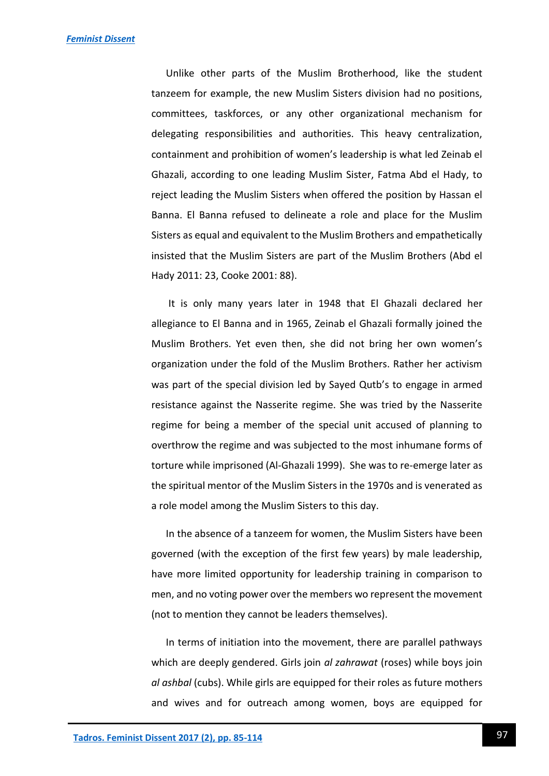Unlike other parts of the Muslim Brotherhood, like the student tanzeem for example, the new Muslim Sisters division had no positions, committees, taskforces, or any other organizational mechanism for delegating responsibilities and authorities. This heavy centralization, containment and prohibition of women's leadership is what led Zeinab el Ghazali, according to one leading Muslim Sister, Fatma Abd el Hady, to reject leading the Muslim Sisters when offered the position by Hassan el Banna. El Banna refused to delineate a role and place for the Muslim Sisters as equal and equivalent to the Muslim Brothers and empathetically insisted that the Muslim Sisters are part of the Muslim Brothers (Abd el Hady 2011: 23, Cooke 2001: 88).

It is only many years later in 1948 that El Ghazali declared her allegiance to El Banna and in 1965, Zeinab el Ghazali formally joined the Muslim Brothers. Yet even then, she did not bring her own women's organization under the fold of the Muslim Brothers. Rather her activism was part of the special division led by Sayed Qutb's to engage in armed resistance against the Nasserite regime. She was tried by the Nasserite regime for being a member of the special unit accused of planning to overthrow the regime and was subjected to the most inhumane forms of torture while imprisoned (Al-Ghazali 1999). She was to re-emerge later as the spiritual mentor of the Muslim Sisters in the 1970s and is venerated as a role model among the Muslim Sisters to this day.

In the absence of a tanzeem for women, the Muslim Sisters have been governed (with the exception of the first few years) by male leadership, have more limited opportunity for leadership training in comparison to men, and no voting power over the members wo represent the movement (not to mention they cannot be leaders themselves).

In terms of initiation into the movement, there are parallel pathways which are deeply gendered. Girls join *al zahrawat* (roses) while boys join *al ashbal* (cubs). While girls are equipped for their roles as future mothers and wives and for outreach among women, boys are equipped for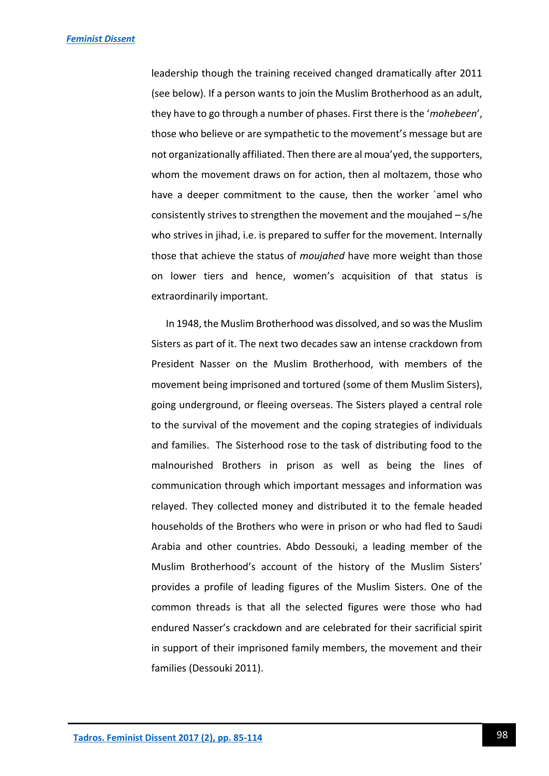leadership though the training received changed dramatically after 2011 (see below). If a person wants to join the Muslim Brotherhood as an adult, they have to go through a number of phases. First there is the '*mohebeen*', those who believe or are sympathetic to the movement's message but are not organizationally affiliated. Then there are al moua'yed, the supporters, whom the movement draws on for action, then al moltazem, those who have a deeper commitment to the cause, then the worker `amel who consistently strives to strengthen the movement and the moujahed – s/he who strives in jihad, i.e. is prepared to suffer for the movement. Internally those that achieve the status of *moujahed* have more weight than those on lower tiers and hence, women's acquisition of that status is extraordinarily important.

In 1948, the Muslim Brotherhood was dissolved, and so was the Muslim Sisters as part of it. The next two decades saw an intense crackdown from President Nasser on the Muslim Brotherhood, with members of the movement being imprisoned and tortured (some of them Muslim Sisters), going underground, or fleeing overseas. The Sisters played a central role to the survival of the movement and the coping strategies of individuals and families. The Sisterhood rose to the task of distributing food to the malnourished Brothers in prison as well as being the lines of communication through which important messages and information was relayed. They collected money and distributed it to the female headed households of the Brothers who were in prison or who had fled to Saudi Arabia and other countries. Abdo Dessouki, a leading member of the Muslim Brotherhood's account of the history of the Muslim Sisters' provides a profile of leading figures of the Muslim Sisters. One of the common threads is that all the selected figures were those who had endured Nasser's crackdown and are celebrated for their sacrificial spirit in support of their imprisoned family members, the movement and their families (Dessouki 2011).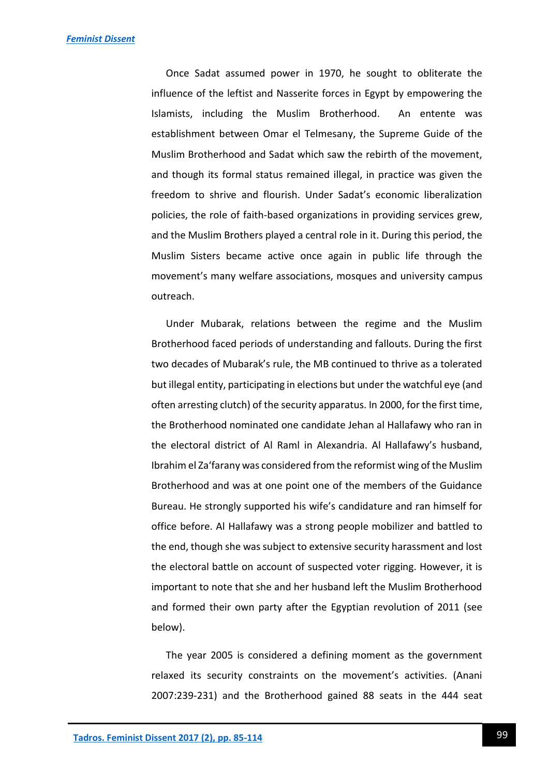Once Sadat assumed power in 1970, he sought to obliterate the influence of the leftist and Nasserite forces in Egypt by empowering the Islamists, including the Muslim Brotherhood. An entente was establishment between Omar el Telmesany, the Supreme Guide of the Muslim Brotherhood and Sadat which saw the rebirth of the movement, and though its formal status remained illegal, in practice was given the freedom to shrive and flourish. Under Sadat's economic liberalization policies, the role of faith-based organizations in providing services grew, and the Muslim Brothers played a central role in it. During this period, the Muslim Sisters became active once again in public life through the movement's many welfare associations, mosques and university campus outreach.

Under Mubarak, relations between the regime and the Muslim Brotherhood faced periods of understanding and fallouts. During the first two decades of Mubarak's rule, the MB continued to thrive as a tolerated but illegal entity, participating in elections but under the watchful eye (and often arresting clutch) of the security apparatus. In 2000, for the first time, the Brotherhood nominated one candidate Jehan al Hallafawy who ran in the electoral district of Al Raml in Alexandria. Al Hallafawy's husband, Ibrahim el Za'farany was considered from the reformist wing of the Muslim Brotherhood and was at one point one of the members of the Guidance Bureau. He strongly supported his wife's candidature and ran himself for office before. Al Hallafawy was a strong people mobilizer and battled to the end, though she was subject to extensive security harassment and lost the electoral battle on account of suspected voter rigging. However, it is important to note that she and her husband left the Muslim Brotherhood and formed their own party after the Egyptian revolution of 2011 (see below).

The year 2005 is considered a defining moment as the government relaxed its security constraints on the movement's activities. (Anani 2007:239-231) and the Brotherhood gained 88 seats in the 444 seat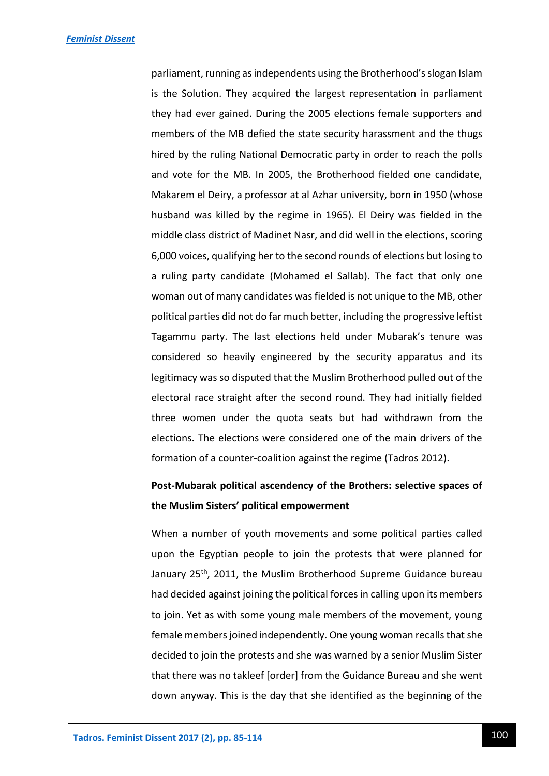parliament, running as independents using the Brotherhood's slogan Islam is the Solution. They acquired the largest representation in parliament they had ever gained. During the 2005 elections female supporters and members of the MB defied the state security harassment and the thugs hired by the ruling National Democratic party in order to reach the polls and vote for the MB. In 2005, the Brotherhood fielded one candidate, Makarem el Deiry, a professor at al Azhar university, born in 1950 (whose husband was killed by the regime in 1965). El Deiry was fielded in the middle class district of Madinet Nasr, and did well in the elections, scoring 6,000 voices, qualifying her to the second rounds of elections but losing to a ruling party candidate (Mohamed el Sallab). The fact that only one woman out of many candidates was fielded is not unique to the MB, other political parties did not do far much better, including the progressive leftist Tagammu party. The last elections held under Mubarak's tenure was considered so heavily engineered by the security apparatus and its legitimacy was so disputed that the Muslim Brotherhood pulled out of the electoral race straight after the second round. They had initially fielded three women under the quota seats but had withdrawn from the elections. The elections were considered one of the main drivers of the formation of a counter-coalition against the regime (Tadros 2012).

# **Post-Mubarak political ascendency of the Brothers: selective spaces of the Muslim Sisters' political empowerment**

When a number of youth movements and some political parties called upon the Egyptian people to join the protests that were planned for January 25<sup>th</sup>, 2011, the Muslim Brotherhood Supreme Guidance bureau had decided against joining the political forces in calling upon its members to join. Yet as with some young male members of the movement, young female members joined independently. One young woman recalls that she decided to join the protests and she was warned by a senior Muslim Sister that there was no takleef [order] from the Guidance Bureau and she went down anyway. This is the day that she identified as the beginning of the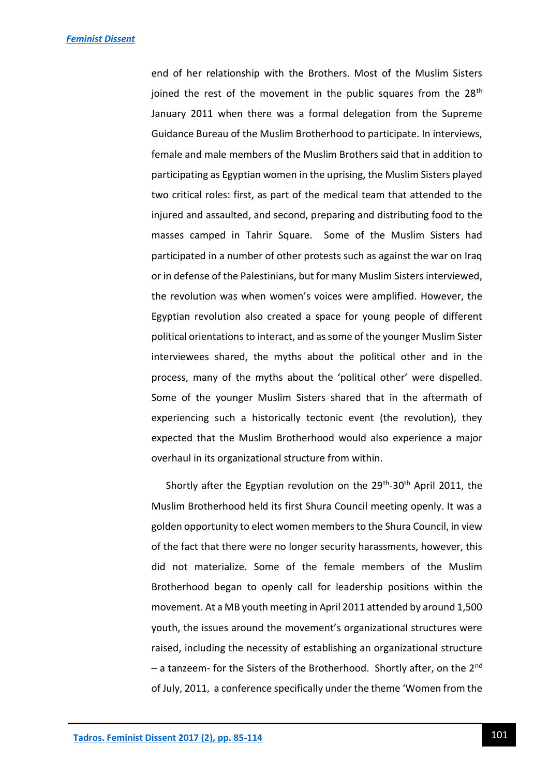*[Feminist Dissent](http://journals.warwick.ac.uk/index.php/feministdissent/issue/view/2)*

end of her relationship with the Brothers. Most of the Muslim Sisters joined the rest of the movement in the public squares from the 28<sup>th</sup> January 2011 when there was a formal delegation from the Supreme Guidance Bureau of the Muslim Brotherhood to participate. In interviews, female and male members of the Muslim Brothers said that in addition to participating as Egyptian women in the uprising, the Muslim Sisters played two critical roles: first, as part of the medical team that attended to the injured and assaulted, and second, preparing and distributing food to the masses camped in Tahrir Square. Some of the Muslim Sisters had participated in a number of other protests such as against the war on Iraq or in defense of the Palestinians, but for many Muslim Sisters interviewed, the revolution was when women's voices were amplified. However, the Egyptian revolution also created a space for young people of different political orientations to interact, and as some of the younger Muslim Sister interviewees shared, the myths about the political other and in the process, many of the myths about the 'political other' were dispelled. Some of the younger Muslim Sisters shared that in the aftermath of experiencing such a historically tectonic event (the revolution), they expected that the Muslim Brotherhood would also experience a major overhaul in its organizational structure from within.

Shortly after the Egyptian revolution on the 29<sup>th</sup>-30<sup>th</sup> April 2011, the Muslim Brotherhood held its first Shura Council meeting openly. It was a golden opportunity to elect women members to the Shura Council, in view of the fact that there were no longer security harassments, however, this did not materialize. Some of the female members of the Muslim Brotherhood began to openly call for leadership positions within the movement. At a MB youth meeting in April 2011 attended by around 1,500 youth, the issues around the movement's organizational structures were raised, including the necessity of establishing an organizational structure – a tanzeem- for the Sisters of the Brotherhood. Shortly after, on the 2<sup>nd</sup> of July, 2011, a conference specifically under the theme 'Women from the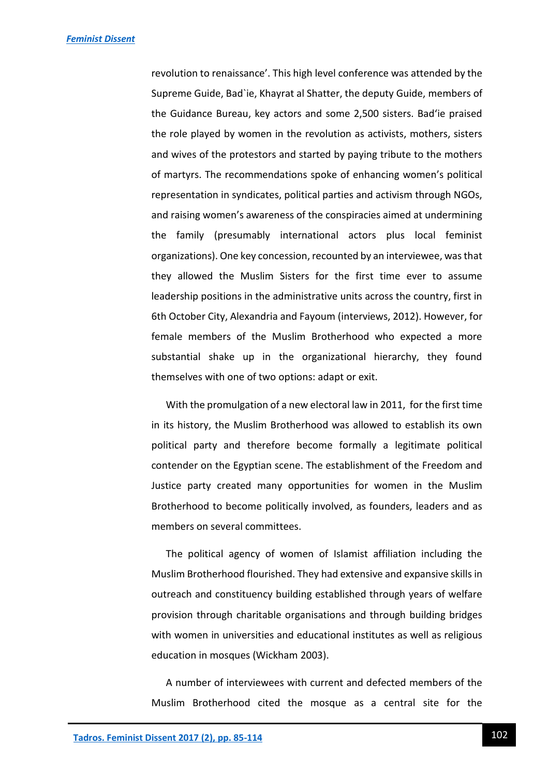revolution to renaissance'. This high level conference was attended by the Supreme Guide, Bad`ie, Khayrat al Shatter, the deputy Guide, members of the Guidance Bureau, key actors and some 2,500 sisters. Bad'ie praised the role played by women in the revolution as activists, mothers, sisters and wives of the protestors and started by paying tribute to the mothers of martyrs. The recommendations spoke of enhancing women's political representation in syndicates, political parties and activism through NGOs, and raising women's awareness of the conspiracies aimed at undermining the family (presumably international actors plus local feminist organizations). One key concession, recounted by an interviewee, was that they allowed the Muslim Sisters for the first time ever to assume leadership positions in the administrative units across the country, first in 6th October City, Alexandria and Fayoum (interviews, 2012). However, for female members of the Muslim Brotherhood who expected a more substantial shake up in the organizational hierarchy, they found themselves with one of two options: adapt or exit.

With the promulgation of a new electoral law in 2011, for the first time in its history, the Muslim Brotherhood was allowed to establish its own political party and therefore become formally a legitimate political contender on the Egyptian scene. The establishment of the Freedom and Justice party created many opportunities for women in the Muslim Brotherhood to become politically involved, as founders, leaders and as members on several committees.

The political agency of women of Islamist affiliation including the Muslim Brotherhood flourished. They had extensive and expansive skills in outreach and constituency building established through years of welfare provision through charitable organisations and through building bridges with women in universities and educational institutes as well as religious education in mosques (Wickham 2003).

A number of interviewees with current and defected members of the Muslim Brotherhood cited the mosque as a central site for the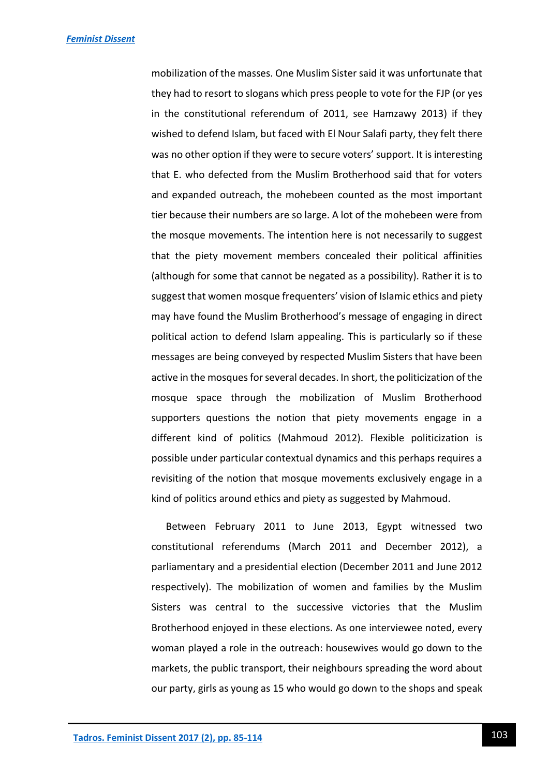mobilization of the masses. One Muslim Sister said it was unfortunate that they had to resort to slogans which press people to vote for the FJP (or yes in the constitutional referendum of 2011, see Hamzawy 2013) if they wished to defend Islam, but faced with El Nour Salafi party, they felt there was no other option if they were to secure voters' support. It is interesting that E. who defected from the Muslim Brotherhood said that for voters and expanded outreach, the mohebeen counted as the most important tier because their numbers are so large. A lot of the mohebeen were from the mosque movements. The intention here is not necessarily to suggest that the piety movement members concealed their political affinities (although for some that cannot be negated as a possibility). Rather it is to suggest that women mosque frequenters' vision of Islamic ethics and piety may have found the Muslim Brotherhood's message of engaging in direct political action to defend Islam appealing. This is particularly so if these messages are being conveyed by respected Muslim Sisters that have been active in the mosques for several decades. In short, the politicization of the mosque space through the mobilization of Muslim Brotherhood supporters questions the notion that piety movements engage in a different kind of politics (Mahmoud 2012). Flexible politicization is possible under particular contextual dynamics and this perhaps requires a revisiting of the notion that mosque movements exclusively engage in a kind of politics around ethics and piety as suggested by Mahmoud.

Between February 2011 to June 2013, Egypt witnessed two constitutional referendums (March 2011 and December 2012), a parliamentary and a presidential election (December 2011 and June 2012 respectively). The mobilization of women and families by the Muslim Sisters was central to the successive victories that the Muslim Brotherhood enjoyed in these elections. As one interviewee noted, every woman played a role in the outreach: housewives would go down to the markets, the public transport, their neighbours spreading the word about our party, girls as young as 15 who would go down to the shops and speak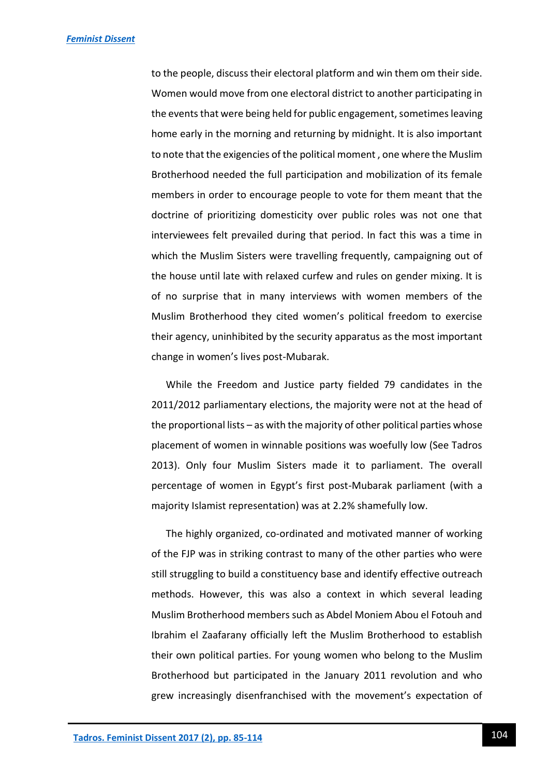to the people, discuss their electoral platform and win them om their side. Women would move from one electoral district to another participating in the events that were being held for public engagement, sometimes leaving home early in the morning and returning by midnight. It is also important to note that the exigencies of the political moment , one where the Muslim Brotherhood needed the full participation and mobilization of its female members in order to encourage people to vote for them meant that the doctrine of prioritizing domesticity over public roles was not one that interviewees felt prevailed during that period. In fact this was a time in which the Muslim Sisters were travelling frequently, campaigning out of the house until late with relaxed curfew and rules on gender mixing. It is of no surprise that in many interviews with women members of the Muslim Brotherhood they cited women's political freedom to exercise their agency, uninhibited by the security apparatus as the most important change in women's lives post-Mubarak.

While the Freedom and Justice party fielded 79 candidates in the 2011/2012 parliamentary elections, the majority were not at the head of the proportional lists – as with the majority of other political parties whose placement of women in winnable positions was woefully low (See Tadros 2013). Only four Muslim Sisters made it to parliament. The overall percentage of women in Egypt's first post-Mubarak parliament (with a majority Islamist representation) was at 2.2% shamefully low.

The highly organized, co-ordinated and motivated manner of working of the FJP was in striking contrast to many of the other parties who were still struggling to build a constituency base and identify effective outreach methods. However, this was also a context in which several leading Muslim Brotherhood members such as Abdel Moniem Abou el Fotouh and Ibrahim el Zaafarany officially left the Muslim Brotherhood to establish their own political parties. For young women who belong to the Muslim Brotherhood but participated in the January 2011 revolution and who grew increasingly disenfranchised with the movement's expectation of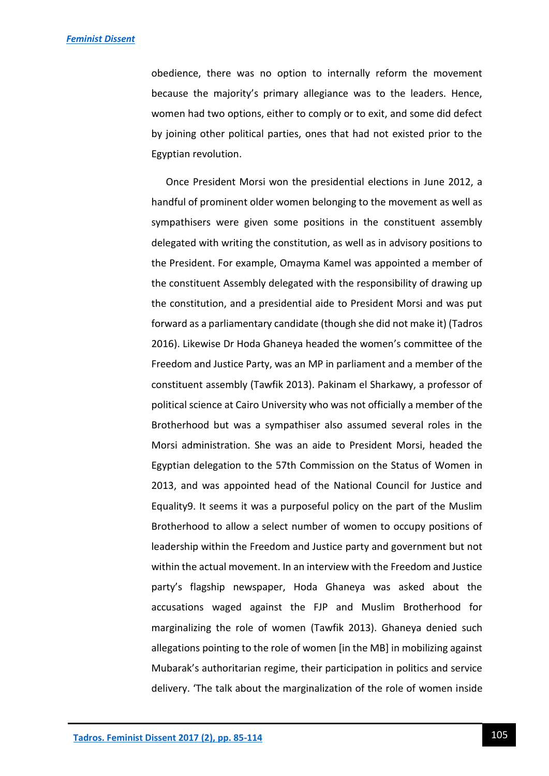obedience, there was no option to internally reform the movement because the majority's primary allegiance was to the leaders. Hence, women had two options, either to comply or to exit, and some did defect by joining other political parties, ones that had not existed prior to the Egyptian revolution.

Once President Morsi won the presidential elections in June 2012, a handful of prominent older women belonging to the movement as well as sympathisers were given some positions in the constituent assembly delegated with writing the constitution, as well as in advisory positions to the President. For example, Omayma Kamel was appointed a member of the constituent Assembly delegated with the responsibility of drawing up the constitution, and a presidential aide to President Morsi and was put forward as a parliamentary candidate (though she did not make it) (Tadros 2016). Likewise Dr Hoda Ghaneya headed the women's committee of the Freedom and Justice Party, was an MP in parliament and a member of the constituent assembly (Tawfik 2013). Pakinam el Sharkawy, a professor of political science at Cairo University who was not officially a member of the Brotherhood but was a sympathiser also assumed several roles in the Morsi administration. She was an aide to President Morsi, headed the Egyptian delegation to the 57th Commission on the Status of Women in 2013, and was appointed head of the National Council for Justice and Equality9. It seems it was a purposeful policy on the part of the Muslim Brotherhood to allow a select number of women to occupy positions of leadership within the Freedom and Justice party and government but not within the actual movement. In an interview with the Freedom and Justice party's flagship newspaper, Hoda Ghaneya was asked about the accusations waged against the FJP and Muslim Brotherhood for marginalizing the role of women (Tawfik 2013). Ghaneya denied such allegations pointing to the role of women [in the MB] in mobilizing against Mubarak's authoritarian regime, their participation in politics and service delivery. 'The talk about the marginalization of the role of women inside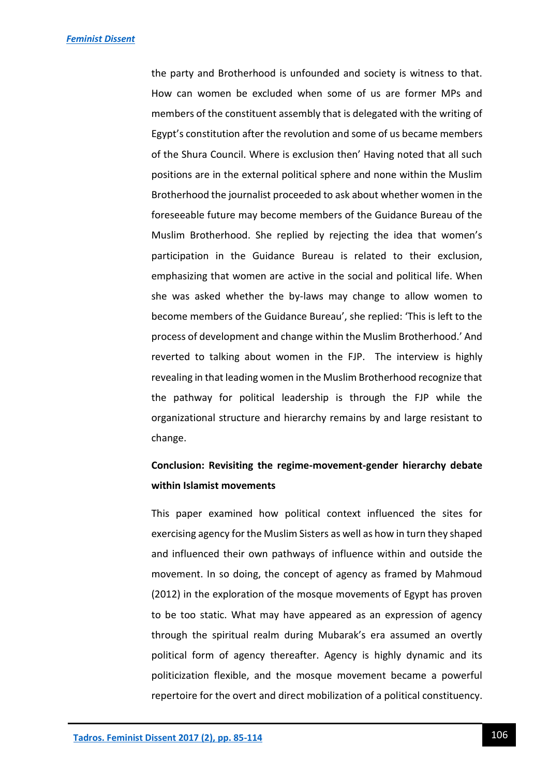the party and Brotherhood is unfounded and society is witness to that. How can women be excluded when some of us are former MPs and members of the constituent assembly that is delegated with the writing of Egypt's constitution after the revolution and some of us became members of the Shura Council. Where is exclusion then' Having noted that all such positions are in the external political sphere and none within the Muslim Brotherhood the journalist proceeded to ask about whether women in the foreseeable future may become members of the Guidance Bureau of the Muslim Brotherhood. She replied by rejecting the idea that women's participation in the Guidance Bureau is related to their exclusion, emphasizing that women are active in the social and political life. When she was asked whether the by-laws may change to allow women to become members of the Guidance Bureau', she replied: 'This is left to the process of development and change within the Muslim Brotherhood.' And reverted to talking about women in the FJP. The interview is highly revealing in that leading women in the Muslim Brotherhood recognize that the pathway for political leadership is through the FJP while the organizational structure and hierarchy remains by and large resistant to change.

# **Conclusion: Revisiting the regime-movement-gender hierarchy debate within Islamist movements**

This paper examined how political context influenced the sites for exercising agency for the Muslim Sisters as well as how in turn they shaped and influenced their own pathways of influence within and outside the movement. In so doing, the concept of agency as framed by Mahmoud (2012) in the exploration of the mosque movements of Egypt has proven to be too static. What may have appeared as an expression of agency through the spiritual realm during Mubarak's era assumed an overtly political form of agency thereafter. Agency is highly dynamic and its politicization flexible, and the mosque movement became a powerful repertoire for the overt and direct mobilization of a political constituency.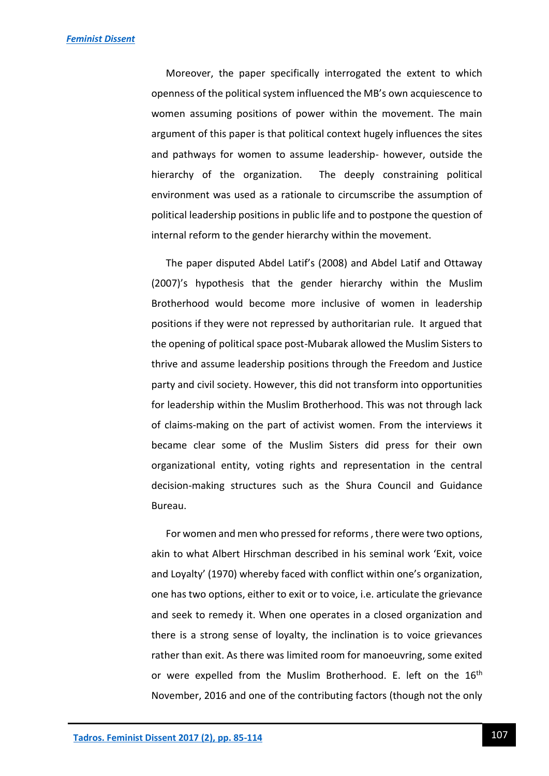Moreover, the paper specifically interrogated the extent to which openness of the political system influenced the MB's own acquiescence to women assuming positions of power within the movement. The main argument of this paper is that political context hugely influences the sites and pathways for women to assume leadership- however, outside the hierarchy of the organization. The deeply constraining political environment was used as a rationale to circumscribe the assumption of political leadership positions in public life and to postpone the question of internal reform to the gender hierarchy within the movement.

The paper disputed Abdel Latif's (2008) and Abdel Latif and Ottaway (2007)'s hypothesis that the gender hierarchy within the Muslim Brotherhood would become more inclusive of women in leadership positions if they were not repressed by authoritarian rule. It argued that the opening of political space post-Mubarak allowed the Muslim Sisters to thrive and assume leadership positions through the Freedom and Justice party and civil society. However, this did not transform into opportunities for leadership within the Muslim Brotherhood. This was not through lack of claims-making on the part of activist women. From the interviews it became clear some of the Muslim Sisters did press for their own organizational entity, voting rights and representation in the central decision-making structures such as the Shura Council and Guidance Bureau.

For women and men who pressed for reforms , there were two options, akin to what Albert Hirschman described in his seminal work 'Exit, voice and Loyalty' (1970) whereby faced with conflict within one's organization, one has two options, either to exit or to voice, i.e. articulate the grievance and seek to remedy it. When one operates in a closed organization and there is a strong sense of loyalty, the inclination is to voice grievances rather than exit. As there was limited room for manoeuvring, some exited or were expelled from the Muslim Brotherhood. E. left on the 16<sup>th</sup> November, 2016 and one of the contributing factors (though not the only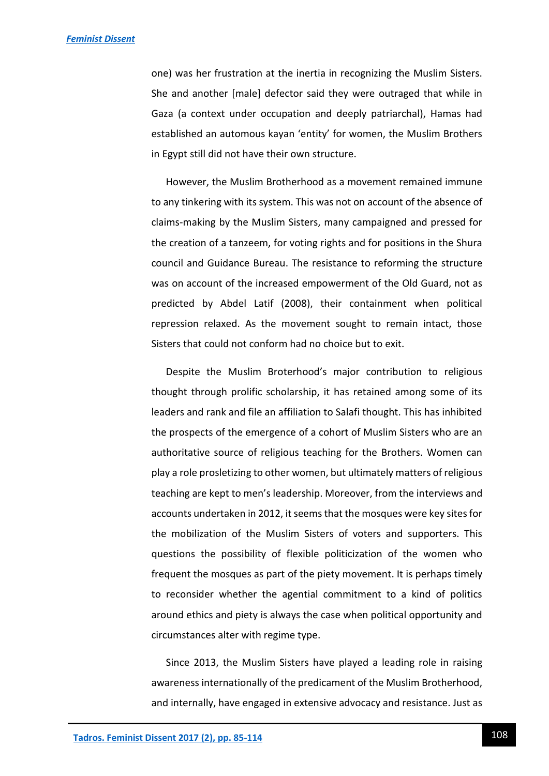one) was her frustration at the inertia in recognizing the Muslim Sisters. She and another [male] defector said they were outraged that while in Gaza (a context under occupation and deeply patriarchal), Hamas had established an automous kayan 'entity' for women, the Muslim Brothers in Egypt still did not have their own structure.

However, the Muslim Brotherhood as a movement remained immune to any tinkering with its system. This was not on account of the absence of claims-making by the Muslim Sisters, many campaigned and pressed for the creation of a tanzeem, for voting rights and for positions in the Shura council and Guidance Bureau. The resistance to reforming the structure was on account of the increased empowerment of the Old Guard, not as predicted by Abdel Latif (2008), their containment when political repression relaxed. As the movement sought to remain intact, those Sisters that could not conform had no choice but to exit.

Despite the Muslim Broterhood's major contribution to religious thought through prolific scholarship, it has retained among some of its leaders and rank and file an affiliation to Salafi thought. This has inhibited the prospects of the emergence of a cohort of Muslim Sisters who are an authoritative source of religious teaching for the Brothers. Women can play a role prosletizing to other women, but ultimately matters of religious teaching are kept to men's leadership. Moreover, from the interviews and accounts undertaken in 2012, it seems that the mosques were key sites for the mobilization of the Muslim Sisters of voters and supporters. This questions the possibility of flexible politicization of the women who frequent the mosques as part of the piety movement. It is perhaps timely to reconsider whether the agential commitment to a kind of politics around ethics and piety is always the case when political opportunity and circumstances alter with regime type.

Since 2013, the Muslim Sisters have played a leading role in raising awareness internationally of the predicament of the Muslim Brotherhood, and internally, have engaged in extensive advocacy and resistance. Just as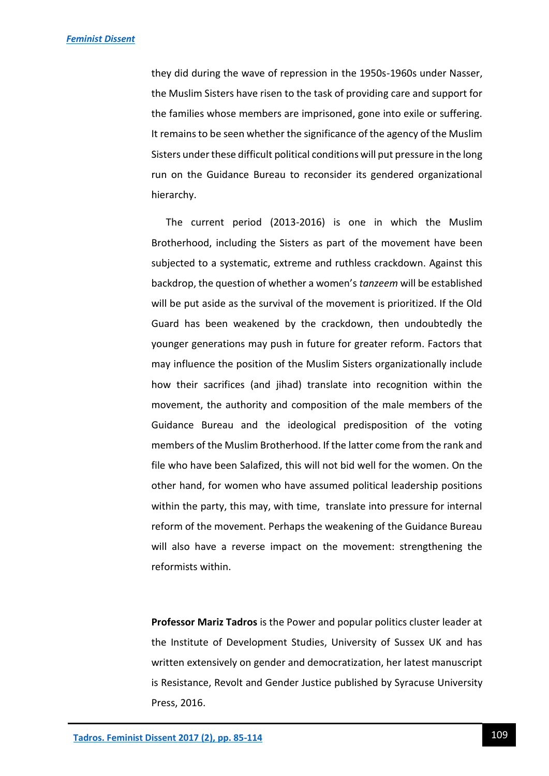they did during the wave of repression in the 1950s-1960s under Nasser, the Muslim Sisters have risen to the task of providing care and support for the families whose members are imprisoned, gone into exile or suffering. It remains to be seen whether the significance of the agency of the Muslim Sisters under these difficult political conditions will put pressure in the long run on the Guidance Bureau to reconsider its gendered organizational hierarchy.

The current period (2013-2016) is one in which the Muslim Brotherhood, including the Sisters as part of the movement have been subjected to a systematic, extreme and ruthless crackdown. Against this backdrop, the question of whether a women's *tanzeem* will be established will be put aside as the survival of the movement is prioritized. If the Old Guard has been weakened by the crackdown, then undoubtedly the younger generations may push in future for greater reform. Factors that may influence the position of the Muslim Sisters organizationally include how their sacrifices (and jihad) translate into recognition within the movement, the authority and composition of the male members of the Guidance Bureau and the ideological predisposition of the voting members of the Muslim Brotherhood. If the latter come from the rank and file who have been Salafized, this will not bid well for the women. On the other hand, for women who have assumed political leadership positions within the party, this may, with time, translate into pressure for internal reform of the movement. Perhaps the weakening of the Guidance Bureau will also have a reverse impact on the movement: strengthening the reformists within.

**Professor Mariz Tadros** is the Power and popular politics cluster leader at the Institute of Development Studies, University of Sussex UK and has written extensively on gender and democratization, her latest manuscript is Resistance, Revolt and Gender Justice published by Syracuse University Press, 2016.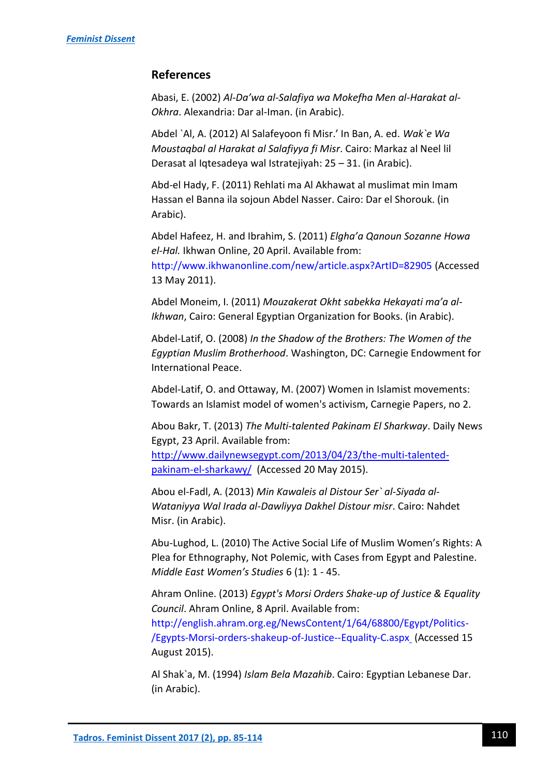# **References**

Abasi, E. (2002) *Al-Da'wa al-Salafiya wa Mokefha Men al-Harakat al-Okhra*. Alexandria: Dar al-Iman. (in Arabic).

Abdel `Al, A. (2012) Al Salafeyoon fi Misr.' In Ban, A. ed. *Wak`e Wa Moustaqbal al Harakat al Salafiyya fi Misr*. Cairo: Markaz al Neel lil Derasat al Iqtesadeya wal Istratejiyah: 25 – 31. (in Arabic).

Abd-el Hady, F. (2011) Rehlati ma Al Akhawat al muslimat min Imam Hassan el Banna ila sojoun Abdel Nasser. Cairo: Dar el Shorouk. (in Arabic).

Abdel Hafeez, H. and Ibrahim, S. (2011) *Elgha'a Qanoun Sozanne Howa el-Hal.* Ikhwan Online, 20 April. Available from: <http://www.ikhwanonline.com/new/article.aspx?ArtID=82905> (Accessed 13 May 2011).

Abdel Moneim, I. (2011) *Mouzakerat Okht sabekka Hekayati ma'a al-Ikhwan*, Cairo: General Egyptian Organization for Books. (in Arabic).

Abdel-Latif, O. (2008) *In the Shadow of the Brothers: The Women of the Egyptian Muslim Brotherhood*. Washington, DC: Carnegie Endowment for International Peace.

Abdel-Latif, O. and Ottaway, M. (2007) Women in Islamist movements: Towards an Islamist model of women's activism, Carnegie Papers, no 2.

Abou Bakr, T. (2013) *The Multi-talented Pakinam El Sharkway*. Daily News Egypt, 23 April. Available from: [http://www.dailynewsegypt.com/2013/04/23/the-multi-talented](http://www.dailynewsegypt.com/2013/04/23/the-multi-talented-pakinam-el-sharkawy/)[pakinam-el-sharkawy/](http://www.dailynewsegypt.com/2013/04/23/the-multi-talented-pakinam-el-sharkawy/) (Accessed 20 May 2015).

Abou el-Fadl, A. (2013) *Min Kawaleis al Distour Ser` al-Siyada al-Wataniyya Wal Irada al-Dawliyya Dakhel Distour misr*. Cairo: Nahdet Misr. (in Arabic).

Abu-Lughod, L. (2010) The Active Social Life of Muslim Women's Rights: A Plea for Ethnography, Not Polemic, with Cases from Egypt and Palestine. *Middle East Women's Studies* 6 (1): 1 - 45.

Ahram Online. (2013) *Egypt's Morsi Orders Shake-up of Justice & Equality Council*. Ahram Online, 8 April. Available from: [http://english.ahram.org.eg/NewsContent/1/64/68800/Egypt/Politics-](http://english.ahram.org.eg/NewsContent/1/64/68800/Egypt/Politics-/Egypts-Morsi-orders-shakeup-of-Justice--Equality-C.aspx) [/Egypts-Morsi-orders-shakeup-of-Justice--Equality-C.aspx](http://english.ahram.org.eg/NewsContent/1/64/68800/Egypt/Politics-/Egypts-Morsi-orders-shakeup-of-Justice--Equality-C.aspx) (Accessed 15 August 2015).

Al Shak`a, M. (1994) *Islam Bela Mazahib*. Cairo: Egyptian Lebanese Dar. (in Arabic).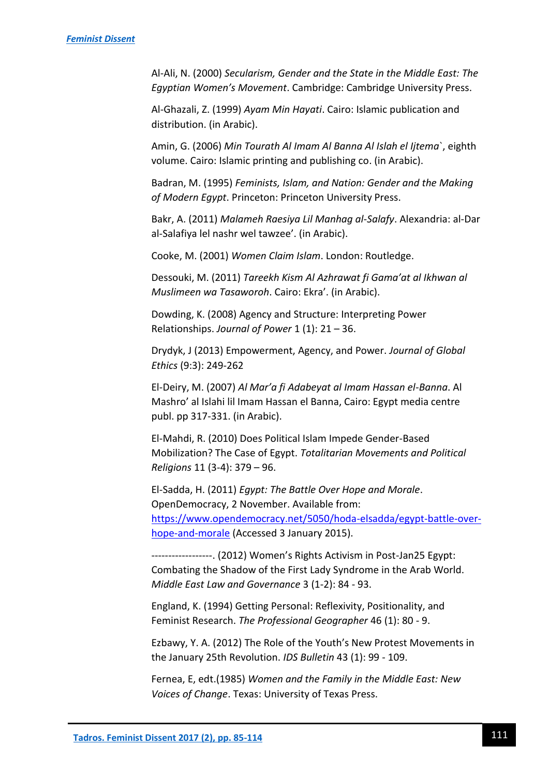Al-Ali, N. (2000) *Secularism, Gender and the State in the Middle East: The Egyptian Women's Movement*. Cambridge: Cambridge University Press.

Al-Ghazali, Z. (1999) *Ayam Min Hayati*. Cairo: Islamic publication and distribution. (in Arabic).

Amin, G. (2006) *Min Tourath Al Imam Al Banna Al Islah el Ijtema*`, eighth volume. Cairo: Islamic printing and publishing co. (in Arabic).

Badran, M. (1995) *Feminists, Islam, and Nation: Gender and the Making of Modern Egypt*. Princeton: Princeton University Press.

Bakr, A. (2011) *Malameh Raesiya Lil Manhag al-Salafy*. Alexandria: al-Dar al-Salafiya lel nashr wel tawzee'. (in Arabic).

Cooke, M. (2001) *Women Claim Islam*. London: Routledge.

Dessouki, M. (2011) *Tareekh Kism Al Azhrawat fi Gama'at al Ikhwan al Muslimeen wa Tasaworoh*. Cairo: Ekra'. (in Arabic).

Dowding, K. (2008) Agency and Structure: Interpreting Power Relationships. *Journal of Power* 1 (1): 21 – 36.

Drydyk, J (2013) Empowerment, Agency, and Power. *Journal of Global Ethics* (9:3): 249-262

El-Deiry, M. (2007) *Al Mar'a fi Adabeyat al Imam Hassan el-Banna*. Al Mashro' al Islahi lil Imam Hassan el Banna, Cairo: Egypt media centre publ. pp 317-331. (in Arabic).

El-Mahdi, R. (2010) Does Political Islam Impede Gender-Based Mobilization? The Case of Egypt. *Totalitarian Movements and Political Religions* 11 (3-4): 379 – 96.

El-Sadda, H. (2011) *Egypt: The Battle Over Hope and Morale*. OpenDemocracy, 2 November. Available from: [https://www.opendemocracy.net/5050/hoda-elsadda/egypt-battle-over](https://www.opendemocracy.net/5050/hoda-elsadda/egypt-battle-over-hope-and-morale)[hope-and-morale](https://www.opendemocracy.net/5050/hoda-elsadda/egypt-battle-over-hope-and-morale) (Accessed 3 January 2015).

------------------. (2012) Women's Rights Activism in Post-Jan25 Egypt: Combating the Shadow of the First Lady Syndrome in the Arab World. *Middle East Law and Governance* 3 (1-2): 84 - 93.

England, K. (1994) Getting Personal: Reflexivity, Positionality, and Feminist Research. *The Professional Geographer* 46 (1): 80 - 9.

Ezbawy, Y. A. (2012) The Role of the Youth's New Protest Movements in the January 25th Revolution. *IDS Bulletin* 43 (1): 99 - 109.

Fernea, E, edt.(1985) *Women and the Family in the Middle East: New Voices of Change*. Texas: University of Texas Press.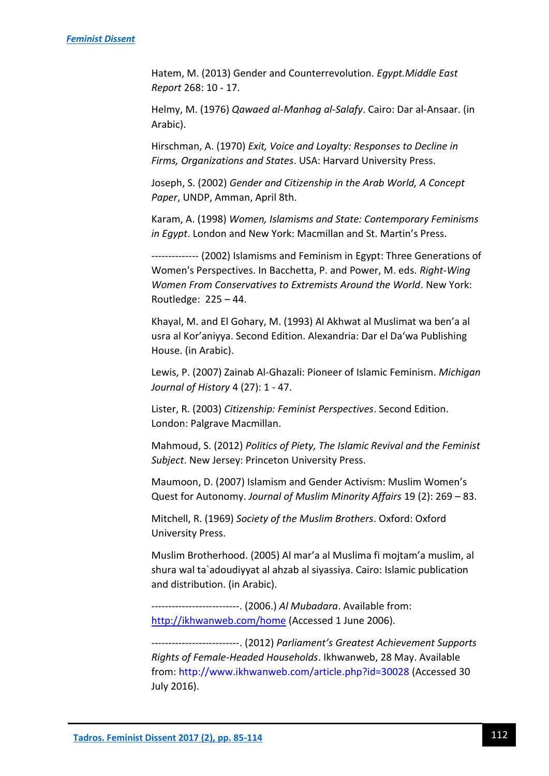Hatem, M. (2013) Gender and Counterrevolution. *Egypt.Middle East Report* 268: 10 - 17.

Helmy, M. (1976) *Qawaed al-Manhag al-Salafy*. Cairo: Dar al-Ansaar. (in Arabic).

Hirschman, A. (1970) *Exit, Voice and Loyalty: Responses to Decline in Firms, Organizations and States*. USA: Harvard University Press.

Joseph, S. (2002) *Gender and Citizenship in the Arab World, A Concept Paper*, UNDP, Amman, April 8th.

Karam, A. (1998) *Women, Islamisms and State: Contemporary Feminisms in Egypt*. London and New York: Macmillan and St. Martin's Press.

-------------- (2002) Islamisms and Feminism in Egypt: Three Generations of Women's Perspectives. In Bacchetta, P. and Power, M. eds. *Right-Wing Women From Conservatives to Extremists Around the World*. New York: Routledge: 225 – 44.

Khayal, M. and El Gohary, M. (1993) Al Akhwat al Muslimat wa ben'a al usra al Kor'aniyya. Second Edition. Alexandria: Dar el Da'wa Publishing House. (in Arabic).

Lewis, P. (2007) Zainab Al-Ghazali: Pioneer of Islamic Feminism. *Michigan Journal of History* 4 (27): 1 - 47.

Lister, R. (2003) *Citizenship: Feminist Perspectives*. Second Edition. London: Palgrave Macmillan.

Mahmoud, S. (2012) *Politics of Piety, The Islamic Revival and the Feminist Subject*. New Jersey: Princeton University Press.

Maumoon, D. (2007) Islamism and Gender Activism: Muslim Women's Quest for Autonomy. *Journal of Muslim Minority Affairs* 19 (2): 269 – 83.

Mitchell, R. (1969) *Society of the Muslim Brothers*. Oxford: Oxford University Press.

Muslim Brotherhood. (2005) Al mar'a al Muslima fi mojtam'a muslim, al shura wal ta`adoudiyyat al ahzab al siyassiya. Cairo: Islamic publication and distribution. (in Arabic).

--------------------------. (2006.) *Al Mubadara*. Available from: <http://ikhwanweb.com/home> (Accessed 1 June 2006).

--------------------------. (2012) *Parliament's Greatest Achievement Supports Rights of Female-Headed Households*. Ikhwanweb, 28 May. Available from:<http://www.ikhwanweb.com/article.php?id=30028> (Accessed 30 July 2016).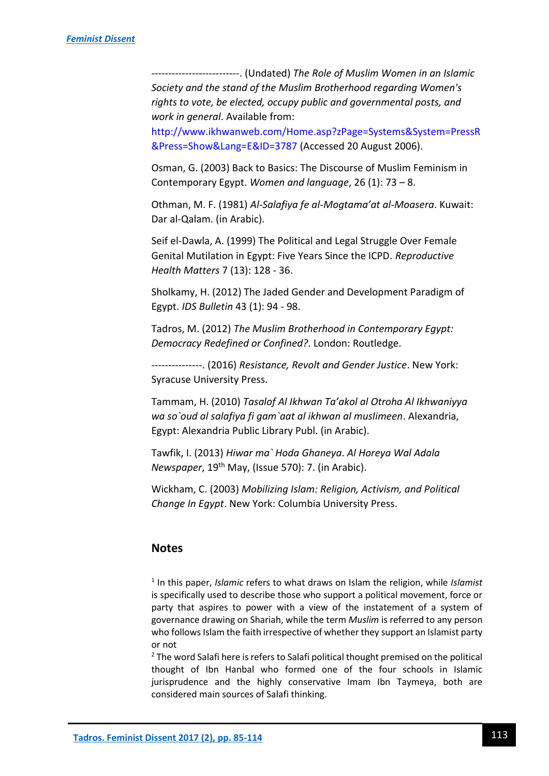--------------------------. (Undated) *The Role of Muslim Women in an Islamic Society and the stand of the Muslim Brotherhood regarding Women's rights to vote, be elected, occupy public and governmental posts, and work in general*. Available from:

[http://www.ikhwanweb.com/Home.asp?zPage=Systems&System=PressR](http://www.ikhwanweb.com/Home.asp?zPage=Systems&System=PressR&Press=Show&Lang=E&ID=3787) [&Press=Show&Lang=E&ID=3787](http://www.ikhwanweb.com/Home.asp?zPage=Systems&System=PressR&Press=Show&Lang=E&ID=3787) (Accessed 20 August 2006).

Osman, G. (2003) Back to Basics: The Discourse of Muslim Feminism in Contemporary Egypt. *Women and language*, 26 (1): 73 – 8.

Othman, M. F. (1981) *Al-Salafiya fe al-Mogtama'at al-Moasera*. Kuwait: Dar al-Qalam. (in Arabic).

Seif el-Dawla, A. (1999) The Political and Legal Struggle Over Female Genital Mutilation in Egypt: Five Years Since the ICPD. *Reproductive Health Matters* 7 (13): 128 - 36.

Sholkamy, H. (2012) The Jaded Gender and Development Paradigm of Egypt. *IDS Bulletin* 43 (1): 94 - 98.

Tadros, M. (2012) *The Muslim Brotherhood in Contemporary Egypt: Democracy Redefined or Confined?*. London: Routledge.

---------------. (2016) *Resistance, Revolt and Gender Justice*. New York: Syracuse University Press.

Tammam, H. (2010) *Tasalof Al Ikhwan Ta'akol al Otroha Al Ikhwaniyya wa so`oud al salafiya fi gam`aat al ikhwan al muslimeen*. Alexandria, Egypt: Alexandria Public Library Publ. (in Arabic).

Tawfik, I. (2013) *Hiwar ma` Hoda Ghaneya*. *Al Horeya Wal Adala Newspaper*, 19th May, (Issue 570): 7. (in Arabic).

Wickham, C. (2003) *Mobilizing Islam: Religion, Activism, and Political Change In Egypt*. New York: Columbia University Press.

## **Notes**

1 In this paper, *Islamic* refers to what draws on Islam the religion, while *Islamist* is specifically used to describe those who support a political movement, force or party that aspires to power with a view of the instatement of a system of governance drawing on Shariah, while the term *Muslim* is referred to any person who follows Islam the faith irrespective of whether they support an Islamist party or not

<sup>2</sup> The word Salafi here is refers to Salafi political thought premised on the political thought of Ibn Hanbal who formed one of the four schools in Islamic jurisprudence and the highly conservative Imam Ibn Taymeya, both are considered main sources of Salafi thinking.